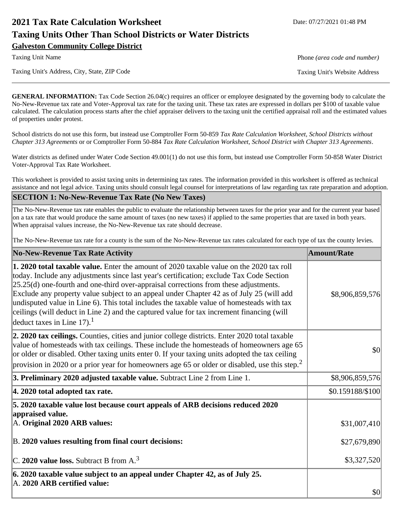# **2021 Tax Rate Calculation Worksheet Date: 07/27/2021 01:48 PM Taxing Units Other Than School Districts or Water Districts Galveston Community College District**

Taxing Unit Name **Phone** *(area code and number)* Phone *(area code and number)* 

Taxing Unit's Address, City, State, ZIP Code Taxing Unit's Website Address

**GENERAL INFORMATION:** Tax Code Section 26.04(c) requires an officer or employee designated by the governing body to calculate the No-New-Revenue tax rate and Voter-Approval tax rate for the taxing unit. These tax rates are expressed in dollars per \$100 of taxable value calculated. The calculation process starts after the chief appraiser delivers to the taxing unit the certified appraisal roll and the estimated values of properties under protest.

School districts do not use this form, but instead use Comptroller Form 50-859 *Tax Rate Calculation Worksheet, School Districts without Chapter 313 Agreements* or or Comptroller Form 50-884 *Tax Rate Calculation Worksheet, School District with Chapter 313 Agreements*.

Water districts as defined under Water Code Section 49.001(1) do not use this form, but instead use Comptroller Form 50-858 Water District Voter-Approval Tax Rate Worksheet.

This worksheet is provided to assist taxing units in determining tax rates. The information provided in this worksheet is offered as technical assistance and not legal advice. Taxing units should consult legal counsel for interpretations of law regarding tax rate preparation and adoption.

#### **SECTION 1: No-New-Revenue Tax Rate (No New Taxes)**

The No-New-Revenue tax rate enables the public to evaluate the relationship between taxes for the prior year and for the current year based on a tax rate that would produce the same amount of taxes (no new taxes) if applied to the same properties that are taxed in both years. When appraisal values increase, the No-New-Revenue tax rate should decrease.

The No-New-Revenue tax rate for a county is the sum of the No-New-Revenue tax rates calculated for each type of tax the county levies.

| No-New-Revenue Tax Rate Activity                                                                                                                                                                                                                                                                                                                                                                                                                                                                                                                                                                                          | <b>Amount/Rate</b>           |
|---------------------------------------------------------------------------------------------------------------------------------------------------------------------------------------------------------------------------------------------------------------------------------------------------------------------------------------------------------------------------------------------------------------------------------------------------------------------------------------------------------------------------------------------------------------------------------------------------------------------------|------------------------------|
| <b>1. 2020 total taxable value.</b> Enter the amount of 2020 taxable value on the 2020 tax roll<br>today. Include any adjustments since last year's certification; exclude Tax Code Section<br>$[25.25(d)$ one-fourth and one-third over-appraisal corrections from these adjustments.<br>Exclude any property value subject to an appeal under Chapter 42 as of July 25 (will add<br>undisputed value in Line 6). This total includes the taxable value of homesteads with tax<br>ceilings (will deduct in Line 2) and the captured value for tax increment financing (will<br>deduct taxes in Line $17$ ). <sup>1</sup> | \$8,906,859,576              |
| 2. 2020 tax ceilings. Counties, cities and junior college districts. Enter 2020 total taxable<br>value of homesteads with tax ceilings. These include the homesteads of homeowners age 65<br>or older or disabled. Other taxing units enter 0. If your taxing units adopted the tax ceiling<br>provision in 2020 or a prior year for homeowners age 65 or older or disabled, use this step. <sup>2</sup>                                                                                                                                                                                                                  | \$0                          |
| 3. Preliminary 2020 adjusted taxable value. Subtract Line 2 from Line 1.                                                                                                                                                                                                                                                                                                                                                                                                                                                                                                                                                  | \$8,906,859,576              |
| $ 4.2020$ total adopted tax rate.                                                                                                                                                                                                                                                                                                                                                                                                                                                                                                                                                                                         | \$0.159188/\$100             |
| 5. 2020 taxable value lost because court appeals of ARB decisions reduced 2020<br>appraised value.<br>A. Original 2020 ARB values:<br>B. 2020 values resulting from final court decisions:                                                                                                                                                                                                                                                                                                                                                                                                                                | \$31,007,410<br>\$27,679,890 |
| C. 2020 value loss. Subtract B from $A3$<br>6. 2020 taxable value subject to an appeal under Chapter 42, as of July 25.                                                                                                                                                                                                                                                                                                                                                                                                                                                                                                   | \$3,327,520                  |
| A. 2020 ARB certified value:                                                                                                                                                                                                                                                                                                                                                                                                                                                                                                                                                                                              | \$0                          |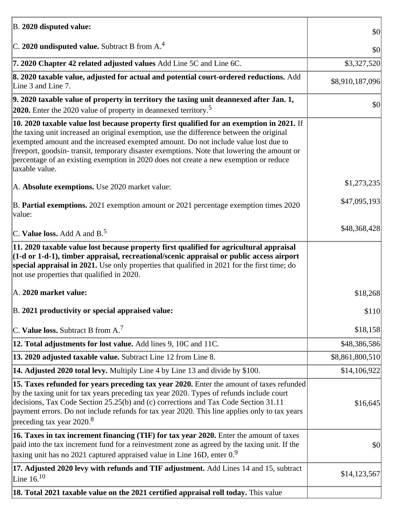| B. 2020 disputed value:                                                                                                                                                                                                                                                                                                                                                                                                                                                               | \$0             |
|---------------------------------------------------------------------------------------------------------------------------------------------------------------------------------------------------------------------------------------------------------------------------------------------------------------------------------------------------------------------------------------------------------------------------------------------------------------------------------------|-----------------|
| C. 2020 undisputed value. Subtract B from $A^4$ .                                                                                                                                                                                                                                                                                                                                                                                                                                     | \$0             |
| 7. 2020 Chapter 42 related adjusted values Add Line 5C and Line 6C.                                                                                                                                                                                                                                                                                                                                                                                                                   | \$3,327,520     |
| 8. 2020 taxable value, adjusted for actual and potential court-ordered reductions. Add<br>Line 3 and Line 7.                                                                                                                                                                                                                                                                                                                                                                          | \$8,910,187,096 |
| $\left 9.2020\right $ taxable value of property in territory the taxing unit deannexed after Jan. 1,<br>2020. Enter the 2020 value of property in deannexed territory. <sup>5</sup>                                                                                                                                                                                                                                                                                                   | \$0             |
| 10. 2020 taxable value lost because property first qualified for an exemption in 2021. If<br>the taxing unit increased an original exemption, use the difference between the original<br>exempted amount and the increased exempted amount. Do not include value lost due to<br>freeport, goodsin-transit, temporary disaster exemptions. Note that lowering the amount or<br>percentage of an existing exemption in 2020 does not create a new exemption or reduce<br>taxable value. |                 |
| A. Absolute exemptions. Use 2020 market value:                                                                                                                                                                                                                                                                                                                                                                                                                                        | \$1,273,235     |
| B. Partial exemptions. 2021 exemption amount or 2021 percentage exemption times 2020<br>value:                                                                                                                                                                                                                                                                                                                                                                                        | \$47,095,193    |
| C. Value loss. Add A and $B$ . <sup>5</sup>                                                                                                                                                                                                                                                                                                                                                                                                                                           | \$48,368,428    |
| 11. 2020 taxable value lost because property first qualified for agricultural appraisal<br>$(1-d$ or $1-d-1$ ), timber appraisal, recreational/scenic appraisal or public access airport<br>special appraisal in 2021. Use only properties that qualified in 2021 for the first time; do<br>not use properties that qualified in 2020.                                                                                                                                                |                 |
| A. 2020 market value:                                                                                                                                                                                                                                                                                                                                                                                                                                                                 | \$18,268        |
| B. 2021 productivity or special appraised value:                                                                                                                                                                                                                                                                                                                                                                                                                                      | \$110           |
| C. Value loss. Subtract B from $A$ . <sup>7</sup>                                                                                                                                                                                                                                                                                                                                                                                                                                     | \$18,158        |
| 12. Total adjustments for lost value. Add lines 9, 10C and 11C.                                                                                                                                                                                                                                                                                                                                                                                                                       | \$48,386,586    |
| 13. 2020 adjusted taxable value. Subtract Line 12 from Line 8.                                                                                                                                                                                                                                                                                                                                                                                                                        | \$8,861,800,510 |
| 14. Adjusted 2020 total levy. Multiply Line 4 by Line 13 and divide by \$100.                                                                                                                                                                                                                                                                                                                                                                                                         | \$14,106,922    |
| 15. Taxes refunded for years preceding tax year 2020. Enter the amount of taxes refunded<br>by the taxing unit for tax years preceding tax year 2020. Types of refunds include court<br>decisions, Tax Code Section 25.25(b) and (c) corrections and Tax Code Section 31.11<br>payment errors. Do not include refunds for tax year 2020. This line applies only to tax years<br>preceding tax year 2020. <sup>8</sup>                                                                 | \$16,645        |
| 16. Taxes in tax increment financing (TIF) for tax year 2020. Enter the amount of taxes<br>paid into the tax increment fund for a reinvestment zone as agreed by the taxing unit. If the<br>taxing unit has no 2021 captured appraised value in Line 16D, enter $0.9$                                                                                                                                                                                                                 | \$0             |
| 17. Adjusted 2020 levy with refunds and TIF adjustment. Add Lines 14 and 15, subtract<br>Line 16. $^{10}$                                                                                                                                                                                                                                                                                                                                                                             | \$14,123,567    |
| 18. Total 2021 taxable value on the 2021 certified appraisal roll today. This value                                                                                                                                                                                                                                                                                                                                                                                                   |                 |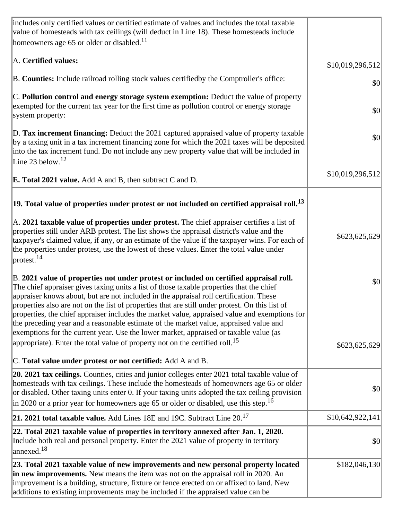| includes only certified values or certified estimate of values and includes the total taxable<br>value of homesteads with tax ceilings (will deduct in Line 18). These homesteads include<br>homeowners age 65 or older or disabled. <sup>11</sup>                                                                                                                                                                                                                                                                                                                                                                                                                                                                                                             |                      |
|----------------------------------------------------------------------------------------------------------------------------------------------------------------------------------------------------------------------------------------------------------------------------------------------------------------------------------------------------------------------------------------------------------------------------------------------------------------------------------------------------------------------------------------------------------------------------------------------------------------------------------------------------------------------------------------------------------------------------------------------------------------|----------------------|
| A. Certified values:                                                                                                                                                                                                                                                                                                                                                                                                                                                                                                                                                                                                                                                                                                                                           | \$10,019,296,512     |
| B. Counties: Include railroad rolling stock values certifiedby the Comptroller's office:                                                                                                                                                                                                                                                                                                                                                                                                                                                                                                                                                                                                                                                                       | \$0                  |
| C. Pollution control and energy storage system exemption: Deduct the value of property<br>exempted for the current tax year for the first time as pollution control or energy storage<br>system property:                                                                                                                                                                                                                                                                                                                                                                                                                                                                                                                                                      | \$0                  |
| D. Tax increment financing: Deduct the 2021 captured appraised value of property taxable<br>by a taxing unit in a tax increment financing zone for which the 2021 taxes will be deposited<br>into the tax increment fund. Do not include any new property value that will be included in<br>Line 23 below. $12$                                                                                                                                                                                                                                                                                                                                                                                                                                                | \$0                  |
| <b>E. Total 2021 value.</b> Add A and B, then subtract C and D.                                                                                                                                                                                                                                                                                                                                                                                                                                                                                                                                                                                                                                                                                                | \$10,019,296,512     |
| $ 19.$ Total value of properties under protest or not included on certified appraisal roll. $^{13}$                                                                                                                                                                                                                                                                                                                                                                                                                                                                                                                                                                                                                                                            |                      |
| A. 2021 taxable value of properties under protest. The chief appraiser certifies a list of<br>properties still under ARB protest. The list shows the appraisal district's value and the<br>taxpayer's claimed value, if any, or an estimate of the value if the taxpayer wins. For each of<br>the properties under protest, use the lowest of these values. Enter the total value under<br>$ $ protest. $^{14}$                                                                                                                                                                                                                                                                                                                                                | \$623,625,629        |
| B. 2021 value of properties not under protest or included on certified appraisal roll.<br>The chief appraiser gives taxing units a list of those taxable properties that the chief<br>appraiser knows about, but are not included in the appraisal roll certification. These<br>properties also are not on the list of properties that are still under protest. On this list of<br>properties, the chief appraiser includes the market value, appraised value and exemptions for<br>the preceding year and a reasonable estimate of the market value, appraised value and<br>exemptions for the current year. Use the lower market, appraised or taxable value (as<br>appropriate). Enter the total value of property not on the certified roll. <sup>15</sup> | \$0<br>\$623,625,629 |
| C. Total value under protest or not certified: Add A and B.                                                                                                                                                                                                                                                                                                                                                                                                                                                                                                                                                                                                                                                                                                    |                      |
| 20. 2021 tax ceilings. Counties, cities and junior colleges enter 2021 total taxable value of<br>homesteads with tax ceilings. These include the homesteads of homeowners age 65 or older<br>or disabled. Other taxing units enter 0. If your taxing units adopted the tax ceiling provision<br>$ $ in 2020 or a prior year for homeowners age 65 or older or disabled, use this step. $^{16}$                                                                                                                                                                                                                                                                                                                                                                 | \$0                  |
| 21. 2021 total taxable value. Add Lines 18E and 19C. Subtract Line $20.^{17}$                                                                                                                                                                                                                                                                                                                                                                                                                                                                                                                                                                                                                                                                                  | \$10,642,922,141     |
| 22. Total 2021 taxable value of properties in territory annexed after Jan. 1, 2020.<br>Include both real and personal property. Enter the 2021 value of property in territory<br>annexed. $^{18}$                                                                                                                                                                                                                                                                                                                                                                                                                                                                                                                                                              | \$0                  |
| 23. Total 2021 taxable value of new improvements and new personal property located<br>in new improvements. New means the item was not on the appraisal roll in 2020. An<br>improvement is a building, structure, fixture or fence erected on or affixed to land. New<br>additions to existing improvements may be included if the appraised value can be                                                                                                                                                                                                                                                                                                                                                                                                       | \$182,046,130        |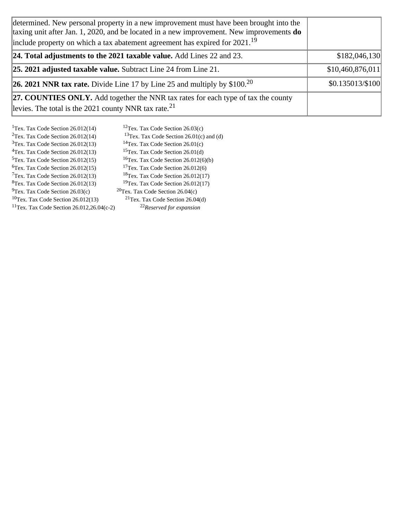| determined. New personal property in a new improvement must have been brought into the<br>taxing unit after Jan. 1, 2020, and be located in a new improvement. New improvements $do$<br>include property on which a tax abatement agreement has expired for $2021.19$ |                  |
|-----------------------------------------------------------------------------------------------------------------------------------------------------------------------------------------------------------------------------------------------------------------------|------------------|
| [24. Total adjustments to the 2021 taxable value. Add Lines 22 and 23.                                                                                                                                                                                                | \$182,046,130    |
| <b>25. 2021 adjusted taxable value.</b> Subtract Line 24 from Line 21.                                                                                                                                                                                                | \$10,460,876,011 |
| <b>26. 2021 NNR tax rate.</b> Divide Line 17 by Line 25 and multiply by $$100.20$                                                                                                                                                                                     | \$0.135013/\$100 |
| <b>27. COUNTIES ONLY.</b> Add together the NNR tax rates for each type of tax the county<br>levies. The total is the 2021 county NNR tax rate. $^{21}$                                                                                                                |                  |

| <sup>1</sup> Tex. Tax Code Section 26.012(14)         | <sup>12</sup> Tex. Tax Code Section 26.03(c)         |
|-------------------------------------------------------|------------------------------------------------------|
| $2$ Tex. Tax Code Section 26.012(14)                  | <sup>13</sup> Tex. Tax Code Section 26.01(c) and (d) |
| $3$ Tex. Tax Code Section 26.012(13)                  | <sup>14</sup> Tex. Tax Code Section 26.01(c)         |
| <sup>4</sup> Tex. Tax Code Section 26.012(13)         | <sup>15</sup> Tex. Tax Code Section 26.01(d)         |
| <sup>5</sup> Tex. Tax Code Section 26.012(15)         | $16$ Tex. Tax Code Section 26.012(6)(b)              |
| $6$ Tex. Tax Code Section 26.012(15)                  | $17$ Tex. Tax Code Section 26.012(6)                 |
| $7$ Tex. Tax Code Section 26.012(13)                  | $18$ Tex. Tax Code Section 26.012(17)                |
| ${}^{8}$ Tex. Tax Code Section 26.012(13)             | <sup>19</sup> Tex. Tax Code Section 26.012(17)       |
| <sup>9</sup> Tex. Tax Code Section 26.03(c)           | <sup>20</sup> Tex. Tax Code Section 26.04(c)         |
| $10$ Tex. Tax Code Section 26.012(13)                 | <sup>21</sup> Tex. Tax Code Section 26.04(d)         |
| <sup>11</sup> Tex. Tax Code Section 26.012,26.04(c-2) | <sup>22</sup> Reserved for expansion                 |
|                                                       |                                                      |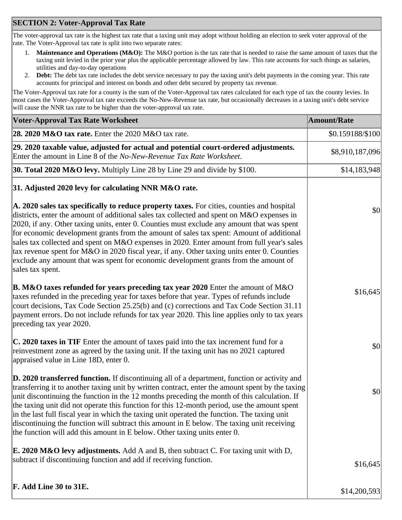# **SECTION 2: Voter-Approval Tax Rate**

The voter-approval tax rate is the highest tax rate that a taxing unit may adopt without holding an election to seek voter approval of the rate. The Voter-Approval tax rate is split into two separate rates:

- 1. **Maintenance and Operations (M&O):** The M&O portion is the tax rate that is needed to raise the same amount of taxes that the taxing unit levied in the prior year plus the applicable percentage allowed by law. This rate accounts for such things as salaries, utilities and day-to-day operations
- 2. **Debt:** The debt tax rate includes the debt service necessary to pay the taxing unit's debt payments in the coming year. This rate accounts for principal and interest on bonds and other debt secured by property tax revenue.

The Voter-Approval tax rate for a county is the sum of the Voter-Approval tax rates calculated for each type of tax the county levies. In most cases the Voter-Approval tax rate exceeds the No-New-Revenue tax rate, but occasionally decreases in a taxing unit's debt service will cause the NNR tax rate to be higher than the voter-approval tax rate.

| <b>Voter-Approval Tax Rate Worksheet</b>                                                                                                                                                                                                                                                                                                                                                                                                                                                                                                                                                                                                                                                    | <b>Amount/Rate</b> |
|---------------------------------------------------------------------------------------------------------------------------------------------------------------------------------------------------------------------------------------------------------------------------------------------------------------------------------------------------------------------------------------------------------------------------------------------------------------------------------------------------------------------------------------------------------------------------------------------------------------------------------------------------------------------------------------------|--------------------|
| 28. 2020 M&O tax rate. Enter the 2020 M&O tax rate.                                                                                                                                                                                                                                                                                                                                                                                                                                                                                                                                                                                                                                         | \$0.159188/\$100   |
| [29. 2020 taxable value, adjusted for actual and potential court-ordered adjustments.<br>Enter the amount in Line 8 of the No-New-Revenue Tax Rate Worksheet.                                                                                                                                                                                                                                                                                                                                                                                                                                                                                                                               | \$8,910,187,096    |
| <b>30. Total 2020 M&amp;O levy.</b> Multiply Line 28 by Line 29 and divide by \$100.                                                                                                                                                                                                                                                                                                                                                                                                                                                                                                                                                                                                        | \$14,183,948       |
| 31. Adjusted 2020 levy for calculating NNR M&O rate.                                                                                                                                                                                                                                                                                                                                                                                                                                                                                                                                                                                                                                        |                    |
| A. 2020 sales tax specifically to reduce property taxes. For cities, counties and hospital<br>districts, enter the amount of additional sales tax collected and spent on M&O expenses in<br>2020, if any. Other taxing units, enter 0. Counties must exclude any amount that was spent<br>for economic development grants from the amount of sales tax spent: Amount of additional<br>sales tax collected and spent on M&O expenses in 2020. Enter amount from full year's sales<br>tax revenue spent for M&O in 2020 fiscal year, if any. Other taxing units enter 0. Counties<br>exclude any amount that was spent for economic development grants from the amount of<br>sales tax spent. | \$0                |
| B. M&O taxes refunded for years preceding tax year 2020 Enter the amount of M&O<br>taxes refunded in the preceding year for taxes before that year. Types of refunds include<br>court decisions, Tax Code Section 25.25(b) and (c) corrections and Tax Code Section 31.11<br>payment errors. Do not include refunds for tax year 2020. This line applies only to tax years<br>preceding tax year 2020.                                                                                                                                                                                                                                                                                      | \$16,645           |
| C. 2020 taxes in TIF Enter the amount of taxes paid into the tax increment fund for a<br>reinvestment zone as agreed by the taxing unit. If the taxing unit has no 2021 captured<br>appraised value in Line 18D, enter 0.                                                                                                                                                                                                                                                                                                                                                                                                                                                                   | \$0                |
| D. 2020 transferred function. If discontinuing all of a department, function or activity and<br>transferring it to another taxing unit by written contract, enter the amount spent by the taxing<br>unit discontinuing the function in the 12 months preceding the month of this calculation. If<br>the taxing unit did not operate this function for this 12-month period, use the amount spent<br>in the last full fiscal year in which the taxing unit operated the function. The taxing unit<br>discontinuing the function will subtract this amount in E below. The taxing unit receiving<br>the function will add this amount in E below. Other taxing units enter 0.                 | \$0                |
| <b>E. 2020 M&amp;O levy adjustments.</b> Add A and B, then subtract C. For taxing unit with D,<br>subtract if discontinuing function and add if receiving function.                                                                                                                                                                                                                                                                                                                                                                                                                                                                                                                         | \$16,645           |
| F. Add Line 30 to 31E.                                                                                                                                                                                                                                                                                                                                                                                                                                                                                                                                                                                                                                                                      | \$14,200,593       |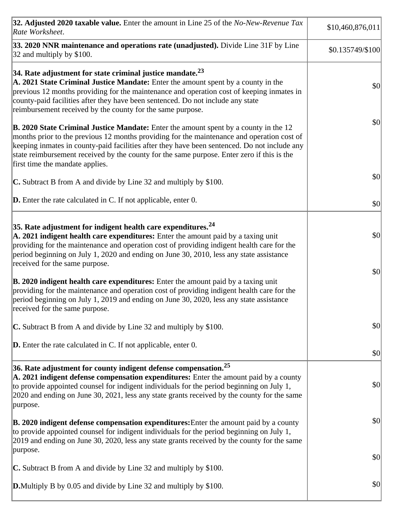| 32. Adjusted 2020 taxable value. Enter the amount in Line 25 of the No-New-Revenue Tax<br>Rate Worksheet.                                                                                                                                                                                                                                                                                                                  | \$10,460,876,011 |
|----------------------------------------------------------------------------------------------------------------------------------------------------------------------------------------------------------------------------------------------------------------------------------------------------------------------------------------------------------------------------------------------------------------------------|------------------|
| 33. 2020 NNR maintenance and operations rate (unadjusted). Divide Line 31F by Line<br>32 and multiply by \$100.                                                                                                                                                                                                                                                                                                            | \$0.135749/\$100 |
| $\left 34.\right.$ Rate adjustment for state criminal justice mandate. $^{23}$<br>A. 2021 State Criminal Justice Mandate: Enter the amount spent by a county in the<br>previous 12 months providing for the maintenance and operation cost of keeping inmates in<br>county-paid facilities after they have been sentenced. Do not include any state<br>reimbursement received by the county for the same purpose.          | \$0              |
| <b>B. 2020 State Criminal Justice Mandate:</b> Enter the amount spent by a county in the 12<br>months prior to the previous 12 months providing for the maintenance and operation cost of<br>keeping inmates in county-paid facilities after they have been sentenced. Do not include any<br>state reimbursement received by the county for the same purpose. Enter zero if this is the<br>first time the mandate applies. | \$0              |
| <b>C.</b> Subtract B from A and divide by Line 32 and multiply by \$100.                                                                                                                                                                                                                                                                                                                                                   | \$0              |
| $\vert$ <b>D.</b> Enter the rate calculated in C. If not applicable, enter 0.                                                                                                                                                                                                                                                                                                                                              | \$0              |
| $ 35.$ Rate adjustment for indigent health care expenditures. $^{\mathrm{24}}$<br>A. 2021 indigent health care expenditures: Enter the amount paid by a taxing unit<br>providing for the maintenance and operation cost of providing indigent health care for the<br>$ $ period beginning on July 1, 2020 and ending on June 30, 2010, less any state assistance<br>received for the same purpose.                         | \$0              |
| <b>B. 2020 indigent health care expenditures:</b> Enter the amount paid by a taxing unit<br>providing for the maintenance and operation cost of providing indigent health care for the<br>period beginning on July 1, 2019 and ending on June 30, 2020, less any state assistance<br>received for the same purpose.                                                                                                        | \$0              |
| $ C$ . Subtract B from A and divide by Line 32 and multiply by \$100.                                                                                                                                                                                                                                                                                                                                                      | \$0              |
| $\vert$ <b>D.</b> Enter the rate calculated in C. If not applicable, enter 0.                                                                                                                                                                                                                                                                                                                                              | \$0              |
| $\left 36.\right.$ Rate adjustment for county indigent defense compensation. $^{25}$<br>$\vert$ A. 2021 indigent defense compensation expenditures: Enter the amount paid by a county<br>to provide appointed counsel for indigent individuals for the period beginning on July 1,<br>2020 and ending on June 30, 2021, less any state grants received by the county for the same<br>purpose.                              | \$0              |
| $ {\bf B.}$ 2020 indigent defense compensation expenditures: Enter the amount paid by a county<br>to provide appointed counsel for indigent individuals for the period beginning on July 1,<br>2019 and ending on June 30, 2020, less any state grants received by the county for the same<br>purpose.                                                                                                                     | \$0              |
| <b>C.</b> Subtract B from A and divide by Line 32 and multiply by \$100.                                                                                                                                                                                                                                                                                                                                                   | \$0              |
| <b>D.</b> Multiply B by 0.05 and divide by Line 32 and multiply by \$100.                                                                                                                                                                                                                                                                                                                                                  | \$0              |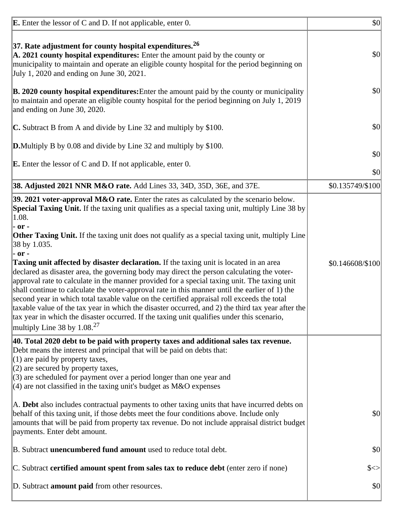| <b>E.</b> Enter the lessor of C and D. If not applicable, enter 0.                                                                                                                                                                                                                                                                                                                                                                                                                                                                                                                                                                                                                                                                | 10               |
|-----------------------------------------------------------------------------------------------------------------------------------------------------------------------------------------------------------------------------------------------------------------------------------------------------------------------------------------------------------------------------------------------------------------------------------------------------------------------------------------------------------------------------------------------------------------------------------------------------------------------------------------------------------------------------------------------------------------------------------|------------------|
| $ 37$ . Rate adjustment for county hospital expenditures. <sup>26</sup><br>A. 2021 county hospital expenditures: Enter the amount paid by the county or<br>municipality to maintain and operate an eligible county hospital for the period beginning on<br>July 1, 2020 and ending on June 30, 2021.                                                                                                                                                                                                                                                                                                                                                                                                                              | \$0              |
| <b>B. 2020 county hospital expenditures:</b> Enter the amount paid by the county or municipality<br>to maintain and operate an eligible county hospital for the period beginning on July 1, 2019<br>and ending on June 30, 2020.                                                                                                                                                                                                                                                                                                                                                                                                                                                                                                  | \$0              |
| <b>C.</b> Subtract B from A and divide by Line 32 and multiply by \$100.                                                                                                                                                                                                                                                                                                                                                                                                                                                                                                                                                                                                                                                          | \$0              |
| <b>D.</b> Multiply B by 0.08 and divide by Line 32 and multiply by \$100.                                                                                                                                                                                                                                                                                                                                                                                                                                                                                                                                                                                                                                                         | \$0              |
| <b>E.</b> Enter the lessor of C and D. If not applicable, enter 0.                                                                                                                                                                                                                                                                                                                                                                                                                                                                                                                                                                                                                                                                | \$0              |
| <b>38. Adjusted 2021 NNR M&amp;O rate.</b> Add Lines 33, 34D, 35D, 36E, and 37E.                                                                                                                                                                                                                                                                                                                                                                                                                                                                                                                                                                                                                                                  | \$0.135749/\$100 |
| 39. 2021 voter-approval M&O rate. Enter the rates as calculated by the scenario below.<br><b>Special Taxing Unit.</b> If the taxing unit qualifies as a special taxing unit, multiply Line 38 by<br> 1.08.<br>$-$ or $-$                                                                                                                                                                                                                                                                                                                                                                                                                                                                                                          |                  |
| <b>Other Taxing Unit.</b> If the taxing unit does not qualify as a special taxing unit, multiply Line<br>38 by 1.035.<br> - or -                                                                                                                                                                                                                                                                                                                                                                                                                                                                                                                                                                                                  |                  |
| <b>Taxing unit affected by disaster declaration.</b> If the taxing unit is located in an area<br>declared as disaster area, the governing body may direct the person calculating the voter-<br>approval rate to calculate in the manner provided for a special taxing unit. The taxing unit<br>shall continue to calculate the voter-approval rate in this manner until the earlier of 1) the<br>second year in which total taxable value on the certified appraisal roll exceeds the total<br>taxable value of the tax year in which the disaster occurred, and 2) the third tax year after the<br>tax year in which the disaster occurred. If the taxing unit qualifies under this scenario,<br>multiply Line 38 by $1.08^{27}$ | \$0.146608/\$100 |
| $ 40.$ Total 2020 debt to be paid with property taxes and additional sales tax revenue.<br>Debt means the interest and principal that will be paid on debts that:<br>$(1)$ are paid by property taxes,<br>$(2)$ are secured by property taxes,                                                                                                                                                                                                                                                                                                                                                                                                                                                                                    |                  |
| $(3)$ are scheduled for payment over a period longer than one year and<br>$(4)$ are not classified in the taxing unit's budget as M&O expenses                                                                                                                                                                                                                                                                                                                                                                                                                                                                                                                                                                                    |                  |
| $ A$ . Debt also includes contractual payments to other taxing units that have incurred debts on<br>behalf of this taxing unit, if those debts meet the four conditions above. Include only<br>amounts that will be paid from property tax revenue. Do not include appraisal district budget<br>payments. Enter debt amount.                                                                                                                                                                                                                                                                                                                                                                                                      | \$0              |
| B. Subtract <b>unencumbered fund amount</b> used to reduce total debt.                                                                                                                                                                                                                                                                                                                                                                                                                                                                                                                                                                                                                                                            | \$0              |
| C. Subtract certified amount spent from sales tax to reduce debt (enter zero if none)                                                                                                                                                                                                                                                                                                                                                                                                                                                                                                                                                                                                                                             | $\frac{\xi}{2}$  |
| D. Subtract <b>amount paid</b> from other resources.                                                                                                                                                                                                                                                                                                                                                                                                                                                                                                                                                                                                                                                                              | \$0              |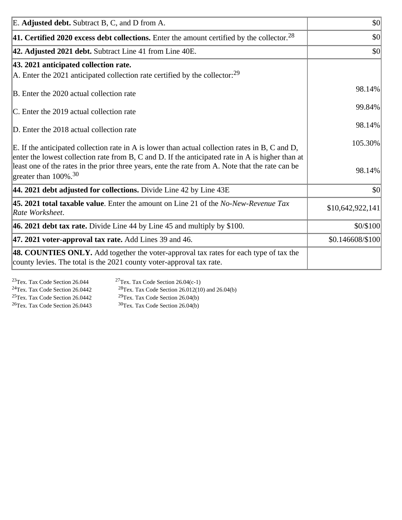| E. Adjusted debt. Subtract B, C, and D from A.                                                                                                                                                                                                                                                                     | \$0               |
|--------------------------------------------------------------------------------------------------------------------------------------------------------------------------------------------------------------------------------------------------------------------------------------------------------------------|-------------------|
| <b>41. Certified 2020 excess debt collections.</b> Enter the amount certified by the collector. <sup>28</sup>                                                                                                                                                                                                      | \$0               |
| 42. Adjusted 2021 debt. Subtract Line 41 from Line 40E.                                                                                                                                                                                                                                                            | \$0               |
| 43. 2021 anticipated collection rate.                                                                                                                                                                                                                                                                              |                   |
| $ A$ . Enter the 2021 anticipated collection rate certified by the collector: <sup>29</sup>                                                                                                                                                                                                                        |                   |
| B. Enter the 2020 actual collection rate                                                                                                                                                                                                                                                                           | 98.14%            |
| C. Enter the 2019 actual collection rate                                                                                                                                                                                                                                                                           | 99.84%            |
| D. Enter the 2018 actual collection rate                                                                                                                                                                                                                                                                           | 98.14%            |
| $\mathbb E$ . If the anticipated collection rate in A is lower than actual collection rates in B, C and D,<br>enter the lowest collection rate from B, C and D. If the anticipated rate in A is higher than at<br>least one of the rates in the prior three years, ente the rate from A. Note that the rate can be | 105.30%<br>98.14% |
| greater than $100\%$ . <sup>30</sup>                                                                                                                                                                                                                                                                               |                   |
| $ 44.2021$ debt adjusted for collections. Divide Line 42 by Line 43E                                                                                                                                                                                                                                               | \$0               |
| 45. 2021 total taxable value. Enter the amount on Line 21 of the No-New-Revenue Tax<br>Rate Worksheet.                                                                                                                                                                                                             | \$10,642,922,141  |
| 46. 2021 debt tax rate. Divide Line 44 by Line 45 and multiply by $$100$ .                                                                                                                                                                                                                                         | \$0/\$100         |
| $ 47.2021$ voter-approval tax rate. Add Lines 39 and 46.                                                                                                                                                                                                                                                           | \$0.146608/\$100  |
| <b>48. COUNTIES ONLY.</b> Add together the voter-approval tax rates for each type of tax the<br>county levies. The total is the 2021 county voter-approval tax rate.                                                                                                                                               |                   |

<sup>23</sup>Tex. Tax Code Section 26.044 <sup>27</sup>Tex. Tax Code Section 26.04(c-1)<br><sup>24</sup>Tex. Tax Code Section 26.0442 <sup>28</sup>Tex. Tax Code Section 26.012(10 <sup>24</sup>Tex. Tax Code Section 26.0442 <sup>28</sup>Tex. Tax Code Section 26.012(10) and 26.04(b)  $^{25}$ Tex. Tax Code Section 26.0442  $^{29}$ Tex. Tax Code Section 26.04(b)

 $^{26}$ Tex. Tax Code Section 26.0443  $^{30}$ Tex. Tax Code Section 26.04(b)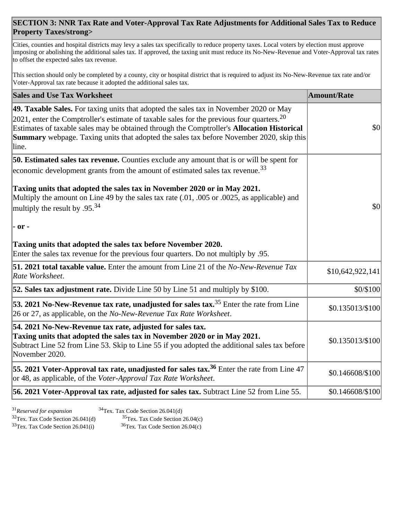### **SECTION 3: NNR Tax Rate and Voter-Approval Tax Rate Adjustments for Additional Sales Tax to Reduce Property Taxes/strong>**

Cities, counties and hospital districts may levy a sales tax specifically to reduce property taxes. Local voters by election must approve imposing or abolishing the additional sales tax. If approved, the taxing unit must reduce its No-New-Revenue and Voter-Approval tax rates to offset the expected sales tax revenue.

This section should only be completed by a county, city or hospital district that is required to adjust its No-New-Revenue tax rate and/or Voter-Approval tax rate because it adopted the additional sales tax.

| <b>Sales and Use Tax Worksheet</b>                                                                                                                                                                                                                                                                                                                                                                            | <b>Amount/Rate</b> |
|---------------------------------------------------------------------------------------------------------------------------------------------------------------------------------------------------------------------------------------------------------------------------------------------------------------------------------------------------------------------------------------------------------------|--------------------|
| <b>49. Taxable Sales.</b> For taxing units that adopted the sales tax in November 2020 or May<br>$ 2021$ , enter the Comptroller's estimate of taxable sales for the previous four quarters. <sup>20</sup><br>Estimates of taxable sales may be obtained through the Comptroller's Allocation Historical<br>Summary webpage. Taxing units that adopted the sales tax before November 2020, skip this<br>line. | \$0                |
| 50. Estimated sales tax revenue. Counties exclude any amount that is or will be spent for<br> economic development grants from the amount of estimated sales tax revenue. <sup>33</sup>                                                                                                                                                                                                                       |                    |
| Taxing units that adopted the sales tax in November 2020 or in May 2021.<br>Multiply the amount on Line 49 by the sales tax rate (.01, .005 or .0025, as applicable) and<br>multiply the result by .95. $34$                                                                                                                                                                                                  | \$0                |
| - or -<br>Taxing units that adopted the sales tax before November 2020.<br>Enter the sales tax revenue for the previous four quarters. Do not multiply by .95.                                                                                                                                                                                                                                                |                    |
| 51. 2021 total taxable value. Enter the amount from Line 21 of the No-New-Revenue Tax<br>Rate Worksheet.                                                                                                                                                                                                                                                                                                      | \$10,642,922,141   |
| 52. Sales tax adjustment rate. Divide Line 50 by Line 51 and multiply by \$100.                                                                                                                                                                                                                                                                                                                               | \$0/\$100          |
| <b>53. 2021 No-New-Revenue tax rate, unadjusted for sales tax.</b> $35$ Enter the rate from Line<br>26 or 27, as applicable, on the No-New-Revenue Tax Rate Worksheet.                                                                                                                                                                                                                                        | \$0.135013/\$100   |
| 54. 2021 No-New-Revenue tax rate, adjusted for sales tax.<br>Taxing units that adopted the sales tax in November 2020 or in May 2021.<br>Subtract Line 52 from Line 53. Skip to Line 55 if you adopted the additional sales tax before<br>November 2020.                                                                                                                                                      | \$0.135013/\$100   |
| 55. 2021 Voter-Approval tax rate, unadjusted for sales tax. <sup>36</sup> Enter the rate from Line 47<br>or 48, as applicable, of the Voter-Approval Tax Rate Worksheet.                                                                                                                                                                                                                                      | \$0.146608/\$100   |
| 56. 2021 Voter-Approval tax rate, adjusted for sales tax. Subtract Line 52 from Line 55.                                                                                                                                                                                                                                                                                                                      | \$0.146608/\$100   |

<sup>31</sup>*Reserved for expansion* <sup>34</sup>Tex. Tax Code Section 26.041(d) <sup>32</sup>Tex. Tax Code Section 26.041(d) <sup>35</sup>Tex. Tax Code Section 26.04(c)<br><sup>33</sup>Tex. Tax Code Section 26.041(i) <sup>36</sup>Tex. Tax Code Section 26.04(c)  $33$ Tex. Tax Code Section 26.041(i)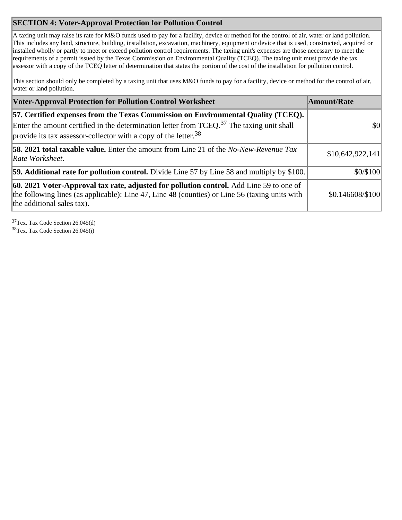## **SECTION 4: Voter-Approval Protection for Pollution Control**

A taxing unit may raise its rate for M&O funds used to pay for a facility, device or method for the control of air, water or land pollution. This includes any land, structure, building, installation, excavation, machinery, equipment or device that is used, constructed, acquired or installed wholly or partly to meet or exceed pollution control requirements. The taxing unit's expenses are those necessary to meet the requirements of a permit issued by the Texas Commission on Environmental Quality (TCEQ). The taxing unit must provide the tax assessor with a copy of the TCEQ letter of determination that states the portion of the cost of the installation for pollution control.

This section should only be completed by a taxing unit that uses M&O funds to pay for a facility, device or method for the control of air, water or land pollution.

| <b>Voter-Approval Protection for Pollution Control Worksheet</b>                                                                                                                                                                                                             | Amount/Rate       |
|------------------------------------------------------------------------------------------------------------------------------------------------------------------------------------------------------------------------------------------------------------------------------|-------------------|
| 57. Certified expenses from the Texas Commission on Environmental Quality (TCEQ).<br>Enter the amount certified in the determination letter from $TCEQ$ . <sup>37</sup> The taxing unit shall<br>provide its tax assessor-collector with a copy of the letter. <sup>38</sup> | \$0               |
| <b>58. 2021 total taxable value.</b> Enter the amount from Line 21 of the No-New-Revenue Tax<br>Rate Worksheet.                                                                                                                                                              | \$10,642,922,141] |
| <b>59. Additional rate for pollution control.</b> Divide Line 57 by Line 58 and multiply by \$100.                                                                                                                                                                           | \$0/\$100         |
| 60. 2021 Voter-Approval tax rate, adjusted for pollution control. Add Line 59 to one of<br>the following lines (as applicable): Line 47, Line 48 (counties) or Line 56 (taxing units with<br>the additional sales tax).                                                      | \$0.146608/\$100  |

<sup>37</sup>Tex. Tax Code Section 26.045(d) <sup>38</sup>Tex. Tax Code Section 26.045(i)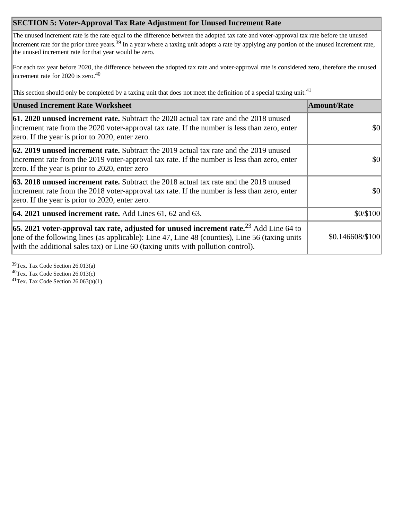### **SECTION 5: Voter-Approval Tax Rate Adjustment for Unused Increment Rate**

The unused increment rate is the rate equal to the difference between the adopted tax rate and voter-approval tax rate before the unused increment rate for the prior three years.<sup>39</sup> In a year where a taxing unit adopts a rate by applying any portion of the unused increment rate, the unused increment rate for that year would be zero.

For each tax year before 2020, the difference between the adopted tax rate and voter-approval rate is considered zero, therefore the unused  $\left|$  increment rate for 2020 is zero.<sup>40</sup>

This section should only be completed by a taxing unit that does not meet the definition of a special taxing unit.<sup>41</sup>

| <b>Unused Increment Rate Worksheet</b>                                                                                                                                                                                                                                                          | <b>Amount/Rate</b> |
|-------------------------------------------------------------------------------------------------------------------------------------------------------------------------------------------------------------------------------------------------------------------------------------------------|--------------------|
| <b>61. 2020 unused increment rate.</b> Subtract the 2020 actual tax rate and the 2018 unused<br>increment rate from the 2020 voter-approval tax rate. If the number is less than zero, enter<br>zero. If the year is prior to 2020, enter zero.                                                 | \$0                |
| <b>62. 2019 unused increment rate.</b> Subtract the 2019 actual tax rate and the 2019 unused<br>increment rate from the 2019 voter-approval tax rate. If the number is less than zero, enter<br>zero. If the year is prior to 2020, enter zero                                                  | \$0                |
| <b>63. 2018 unused increment rate.</b> Subtract the 2018 actual tax rate and the 2018 unused<br>increment rate from the 2018 voter-approval tax rate. If the number is less than zero, enter<br>zero. If the year is prior to 2020, enter zero.                                                 | \$0                |
| $\left  64.2021 \right $ unused increment rate. Add Lines 61, 62 and 63.                                                                                                                                                                                                                        | \$0/\$100          |
| <b>65. 2021 voter-approval tax rate, adjusted for unused increment rate.</b> <sup>23</sup> Add Line 64 to<br>one of the following lines (as applicable): Line 47, Line 48 (counties), Line 56 (taxing units<br>with the additional sales tax) or Line 60 (taxing units with pollution control). | \$0.146608/\$100   |

<sup>39</sup>Tex. Tax Code Section 26.013(a) <sup>40</sup>Tex. Tax Code Section 26.013(c) <sup>41</sup>Tex. Tax Code Section 26.063(a)(1)